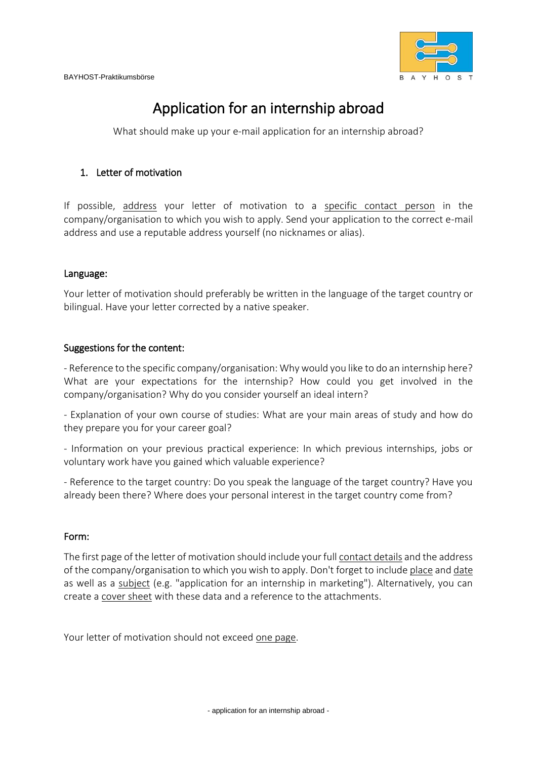

# Application for an internship abroad

What should make up your e-mail application for an internship abroad?

# 1. Letter of motivation

If possible, address your letter of motivation to a specific contact person in the company/organisation to which you wish to apply. Send your application to the correct e-mail address and use a reputable address yourself (no nicknames or alias).

#### Language:

Your letter of motivation should preferably be written in the language of the target country or bilingual. Have your letter corrected by a native speaker.

#### Suggestions for the content:

- Reference to the specific company/organisation: Why would you like to do an internship here? What are your expectations for the internship? How could you get involved in the company/organisation? Why do you consider yourself an ideal intern?

- Explanation of your own course of studies: What are your main areas of study and how do they prepare you for your career goal?

- Information on your previous practical experience: In which previous internships, jobs or voluntary work have you gained which valuable experience?

- Reference to the target country: Do you speak the language of the target country? Have you already been there? Where does your personal interest in the target country come from?

#### Form:

The first page of the letter of motivation should include your full contact details and the address of the company/organisation to which you wish to apply. Don't forget to include place and date as well as a subject (e.g. "application for an internship in marketing"). Alternatively, you can create a cover sheet with these data and a reference to the attachments.

Your letter of motivation should not exceed one page.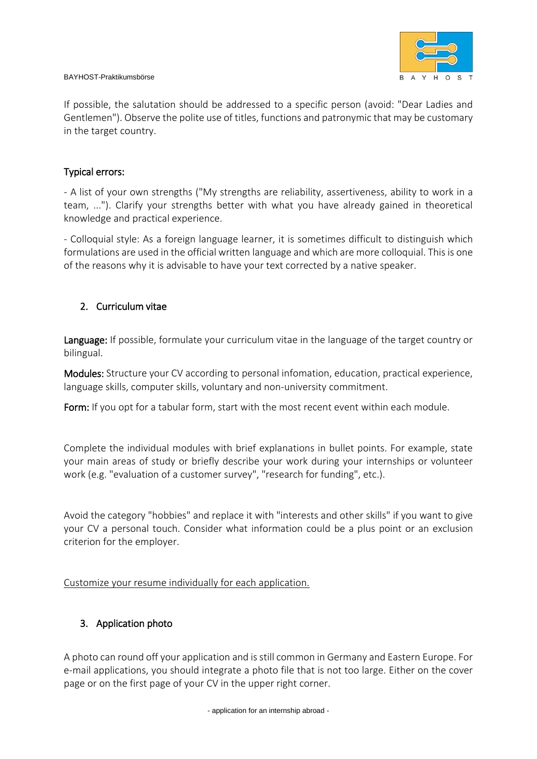

#### BAYHOST-Praktikumsbörse

If possible, the salutation should be addressed to a specific person (avoid: "Dear Ladies and Gentlemen"). Observe the polite use of titles, functions and patronymic that may be customary in the target country.

### Typical errors:

- A list of your own strengths ("My strengths are reliability, assertiveness, ability to work in a team, ..."). Clarify your strengths better with what you have already gained in theoretical knowledge and practical experience.

- Colloquial style: As a foreign language learner, it is sometimes difficult to distinguish which formulations are used in the official written language and which are more colloquial. This is one of the reasons why it is advisable to have your text corrected by a native speaker.

# 2. Curriculum vitae

Language: If possible, formulate your curriculum vitae in the language of the target country or bilingual.

Modules: Structure your CV according to personal infomation, education, practical experience, language skills, computer skills, voluntary and non-university commitment.

Form: If you opt for a tabular form, start with the most recent event within each module.

Complete the individual modules with brief explanations in bullet points. For example, state your main areas of study or briefly describe your work during your internships or volunteer work (e.g. "evaluation of a customer survey", "research for funding", etc.).

Avoid the category "hobbies" and replace it with "interests and other skills" if you want to give your CV a personal touch. Consider what information could be a plus point or an exclusion criterion for the employer.

#### Customize your resume individually for each application.

# 3. Application photo

A photo can round off your application and is still common in Germany and Eastern Europe. For e-mail applications, you should integrate a photo file that is not too large. Either on the cover page or on the first page of your CV in the upper right corner.